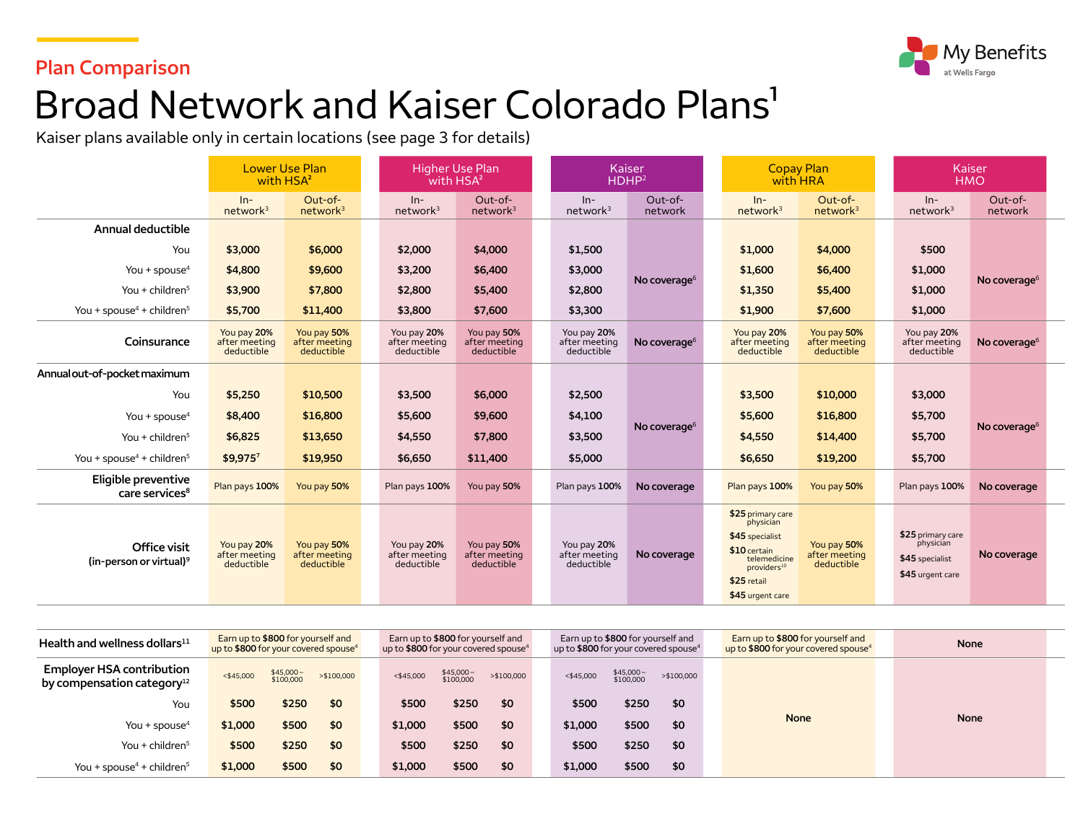### **Plan Comparison**



# Broad Network and Kaiser Colorado Plans<sup>1</sup>

Kaiser plans available only in certain locations (see page 3 for details)

|                                                        | with HSA <sup>2</sup>                      | <b>Lower Use Plan</b>                      |                                            | <b>Higher Use Plan</b><br>with HSA <sup>2</sup> |  |                                            | Kaiser<br>HDHP <sup>2</sup> |  | <b>Copay Plan</b><br>with HRA                                                                                                                   |                                            | Kaiser<br><b>HMO</b>                                                  |                          |
|--------------------------------------------------------|--------------------------------------------|--------------------------------------------|--------------------------------------------|-------------------------------------------------|--|--------------------------------------------|-----------------------------|--|-------------------------------------------------------------------------------------------------------------------------------------------------|--------------------------------------------|-----------------------------------------------------------------------|--------------------------|
|                                                        | $ln-$<br>network <sup>3</sup>              | Out-of-<br>network <sup>3</sup>            | $In-$<br>network <sup>3</sup>              | Out-of-<br>network <sup>3</sup>                 |  | $In-$<br>network <sup>3</sup>              | Out-of-<br>network          |  | $ln-$<br>network <sup>3</sup>                                                                                                                   | Out-of-<br>network <sup>3</sup>            | $In-$<br>network <sup>3</sup>                                         | Out-of-<br>network       |
| Annual deductible                                      |                                            |                                            |                                            |                                                 |  |                                            |                             |  |                                                                                                                                                 |                                            |                                                                       |                          |
| You                                                    | \$3,000                                    | \$6,000                                    | \$2,000                                    | \$4,000                                         |  | \$1,500                                    |                             |  | \$1,000                                                                                                                                         | \$4,000                                    | \$500                                                                 |                          |
| You + spouse <sup>4</sup>                              | \$4,800                                    | \$9,600                                    | \$3,200                                    | \$6,400                                         |  | \$3,000                                    | No coverage $6$             |  | \$1,600                                                                                                                                         | \$6,400                                    | \$1,000                                                               | No coverage $6$          |
| You + children $5$                                     | \$3,900                                    | \$7,800                                    | \$2,800                                    | \$5,400                                         |  | \$2,800                                    |                             |  | \$1,350                                                                                                                                         | \$5,400                                    | \$1,000                                                               |                          |
| You + spouse <sup>4</sup> + children <sup>5</sup>      | \$5,700                                    | \$11,400                                   | \$3,800                                    | \$7,600                                         |  | \$3,300                                    |                             |  | \$1,900                                                                                                                                         | \$7,600                                    | \$1,000                                                               |                          |
| Coinsurance                                            | You pay 20%<br>after meeting<br>deductible | You pay 50%<br>after meeting<br>deductible | You pay 20%<br>after meeting<br>deductible | You pay 50%<br>after meeting<br>deductible      |  | You pay 20%<br>after meeting<br>deductible | No coverage <sup>6</sup>    |  | You pay 20%<br>after meeting<br>deductible                                                                                                      | You pay 50%<br>after meeting<br>deductible | You pay 20%<br>after meeting<br>deductible                            | No coverage <sup>6</sup> |
| Annual out-of-pocket maximum                           |                                            |                                            |                                            |                                                 |  |                                            |                             |  |                                                                                                                                                 |                                            |                                                                       |                          |
| You                                                    | \$5,250                                    | \$10,500                                   | \$3,500                                    | \$6,000                                         |  | \$2,500                                    |                             |  | \$3,500                                                                                                                                         | \$10,000                                   | \$3,000                                                               |                          |
| You + spouse <sup>4</sup>                              | \$8,400                                    | \$16,800                                   | \$5,600                                    | \$9,600                                         |  | \$4,100                                    | No coverage $6$             |  | \$5,600                                                                                                                                         | \$16,800                                   | \$5,700                                                               |                          |
| You + children $5$                                     | \$6,825                                    | \$13,650                                   | \$4,550                                    | \$7,800                                         |  | \$3,500                                    |                             |  | \$4,550                                                                                                                                         | \$14,400                                   | \$5,700                                                               | No coverage <sup>6</sup> |
| You + spouse <sup>4</sup> + children <sup>5</sup>      | \$9,9757                                   | \$19,950                                   | \$6,650                                    | \$11,400                                        |  | \$5,000                                    |                             |  | \$6,650                                                                                                                                         | \$19,200                                   | \$5,700                                                               |                          |
| Eligible preventive<br>care services <sup>8</sup>      | Plan pays 100%                             | You pay 50%                                | Plan pays 100%                             | You pay 50%                                     |  | Plan pays 100%                             | No coverage                 |  | Plan pays 100%                                                                                                                                  | You pay 50%                                | Plan pays 100%                                                        | No coverage              |
| Office visit<br>$(in$ -person or virtual) <sup>9</sup> | You pay 20%<br>after meeting<br>deductible | You pay 50%<br>after meeting<br>deductible | You pay 20%<br>after meeting<br>deductible | You pay 50%<br>after meeting<br>deductible      |  | You pay 20%<br>after meeting<br>deductible | No coverage                 |  | \$25 primary care<br>physician<br>\$45 specialist<br>\$10 certain<br>telemedicine<br>providers <sup>10</sup><br>\$25 retail<br>\$45 urgent care | You pay 50%<br>after meeting<br>deductible | \$25 primary care<br>physician<br>\$45 specialist<br>\$45 urgent care | No coverage              |

| Health and wellness dollars $^{11}$                               | Earn up to \$800 for yourself and<br>up to \$800 for your covered spouse <sup>4</sup> |                         |             | Earn up to \$800 for yourself and<br>up to \$800 for your covered spouse <sup>4</sup> |                        |            | Earn up to \$800 for yourself and<br>up to \$800 for your covered spouse <sup>4</sup> |                        |             | Earn up to \$800 for yourself and<br>up to \$800 for your covered spouse <sup>4</sup> | <b>None</b> |  |
|-------------------------------------------------------------------|---------------------------------------------------------------------------------------|-------------------------|-------------|---------------------------------------------------------------------------------------|------------------------|------------|---------------------------------------------------------------------------------------|------------------------|-------------|---------------------------------------------------------------------------------------|-------------|--|
| <b>Employer HSA contribution</b><br>by compensation category $12$ | $<$ \$45,000                                                                          | $$45,000-$<br>\$100,000 | > \$100,000 | $<$ \$45,000                                                                          | \$45,000-<br>\$100,000 | >\$100,000 | $<$ \$45,000                                                                          | \$45,000-<br>\$100,000 | > \$100,000 |                                                                                       |             |  |
| You                                                               | \$500                                                                                 | \$250                   | \$0         | \$500                                                                                 | \$250                  | \$0        | \$500                                                                                 | \$250                  | \$0         |                                                                                       |             |  |
| You + spouse <sup>4</sup>                                         | \$1,000                                                                               | \$500                   | \$0         | \$1,000                                                                               | \$500                  | \$0        | \$1,000                                                                               | \$500                  | \$0         | <b>None</b>                                                                           | <b>None</b> |  |
| You + children $5$                                                | \$500                                                                                 | \$250                   | \$0         | \$500                                                                                 | \$250                  | \$0        | \$500                                                                                 | \$250                  | \$0         |                                                                                       |             |  |
| You + spouse <sup>4</sup> + children <sup>5</sup>                 | \$1,000                                                                               | \$500                   | \$0         | \$1,000                                                                               | \$500                  | \$0        | \$1,000                                                                               | \$500                  | \$0         |                                                                                       |             |  |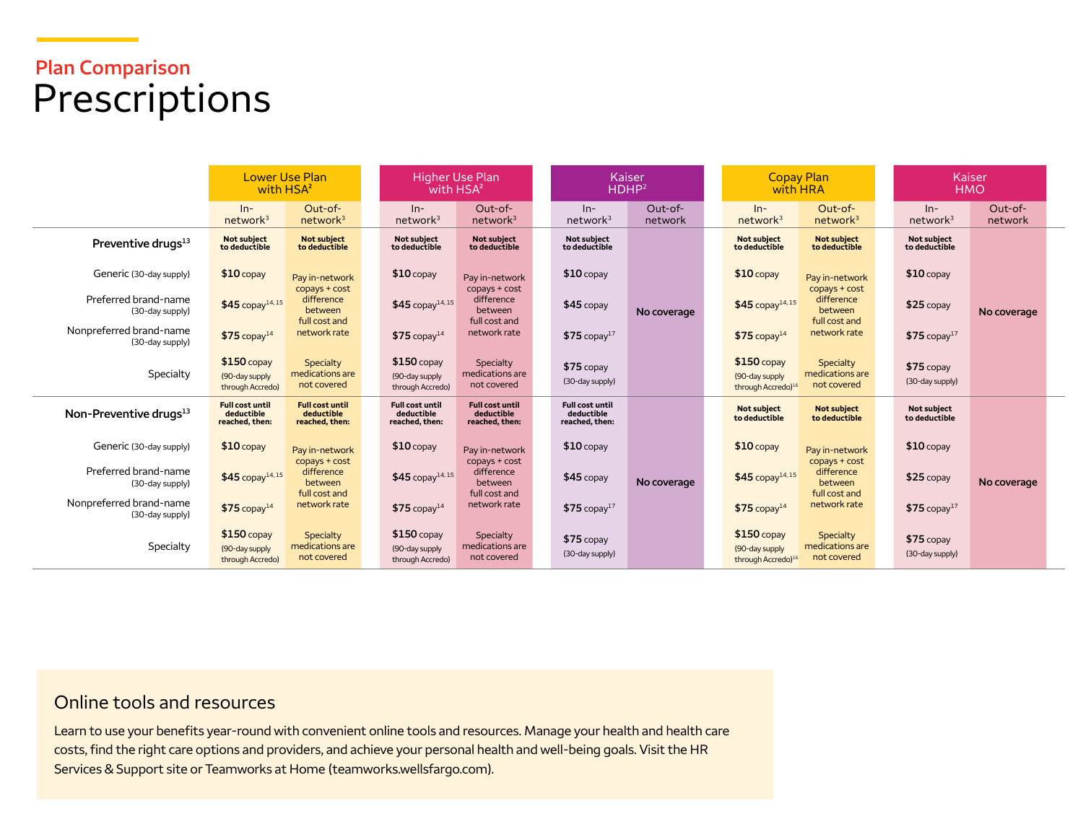# **Plan Comparison**  Prescriptions

|                                            | with HSA <sup>2</sup>                                  | <b>Lower Use Plan</b>                                                   |                                                        | <b>Higher Use Plan</b><br>with HSA <sup>2</sup>          |                                                        | Kaiser<br>HDHP <sup>2</sup> |  | <b>Copay Plan</b><br>with HRA                                    |                                                                         | Kaiser<br><b>HMO</b>           |                    |  |
|--------------------------------------------|--------------------------------------------------------|-------------------------------------------------------------------------|--------------------------------------------------------|----------------------------------------------------------|--------------------------------------------------------|-----------------------------|--|------------------------------------------------------------------|-------------------------------------------------------------------------|--------------------------------|--------------------|--|
|                                            | $In-$<br>network <sup>3</sup>                          | Out-of-<br>network <sup>3</sup>                                         | $ln-$<br>network <sup>3</sup>                          | Out-of-<br>network <sup>3</sup>                          | $In-$<br>network <sup>3</sup>                          | Out-of-<br>network          |  | $ln-$<br>network <sup>3</sup>                                    | Out-of-<br>network <sup>3</sup>                                         | $ln-$<br>network <sup>3</sup>  | Out-of-<br>network |  |
| Preventive drugs <sup>13</sup>             | Not subject<br>to deductible                           | <b>Not subject</b><br>to deductible                                     | Not subject<br>to deductible                           | Not subject<br>to deductible                             | <b>Not subiect</b><br>to deductible                    |                             |  | <b>Not subject</b><br>to deductible                              | <b>Not subject</b><br>to deductible                                     | Not subject<br>to deductible   |                    |  |
| Generic (30-day supply)                    | $$10$ copay                                            | Pay in-network                                                          | $$10$ copay                                            | Pay in-network                                           | $$10$ copay                                            |                             |  | $$10$ copay                                                      | Pay in-network                                                          | $$10$ copay                    |                    |  |
| Preferred brand-name<br>(30-day supply)    | $$45$ copay <sup>14,15</sup>                           | copays + cost<br>difference<br>between<br>full cost and                 | $$45$ copay <sup>14,15</sup>                           | $copys + cost$<br>difference<br>between<br>full cost and | $$45$ copay                                            | No coverage                 |  | $$45$ copay <sup>14,15</sup>                                     | $copys + cost$<br>difference<br>between<br>full cost and                | \$25 copay                     | No coverage        |  |
| Nonpreferred brand-name<br>(30-day supply) | $$75$ copay <sup>14</sup>                              | network rate<br>Specialty<br>medications are<br>not covered             | $$75$ copay <sup>14</sup>                              | network rate                                             | $$75$ copay <sup>17</sup>                              |                             |  | $$75$ copay <sup>14</sup>                                        | network rate                                                            | $$75$ copay <sup>17</sup>      |                    |  |
| Specialty                                  | $$150$ copay<br>(90-day supply<br>through Accredo)     |                                                                         | $$150$ copay<br>(90-day supply<br>through Accredo)     | Specialty<br>medications are<br>not covered              | $$75$ copay<br>(30-day supply)                         |                             |  | $$150$ copay<br>(90-day supply<br>through Accredo) <sup>16</sup> | Specialty<br>medications are<br>not covered                             | $$75$ copay<br>(30-day supply) |                    |  |
| Non-Preventive drugs <sup>13</sup>         | <b>Full cost until</b><br>deductible<br>reached, then: | <b>Full cost until</b><br>deductible<br>reached, then:                  | <b>Full cost until</b><br>deductible<br>reached, then: | <b>Full cost until</b><br>deductible<br>reached, then:   | <b>Full cost until</b><br>deductible<br>reached, then: |                             |  | <b>Not subject</b><br>to deductible                              | <b>Not subject</b><br>to deductible                                     | Not subject<br>to deductible   |                    |  |
| Generic (30-day supply)                    | $$10$ copay                                            | Pay in-network                                                          | $$10$ copay                                            | Pay in-network                                           | $$10$ copay                                            |                             |  | $$10$ copay                                                      | Pay in-network                                                          | $$10$ copay                    |                    |  |
| Preferred brand-name<br>(30-day supply)    | $$45$ copay <sup>14,15</sup>                           | copays + cost<br>difference<br>between<br>full cost and<br>network rate | $$45$ copay <sup>14,15</sup>                           | copays + cost<br>difference<br>between                   | $$45$ copay                                            | No coverage                 |  | \$45 copay <sup>14,15</sup>                                      | copays + cost<br>difference<br>between<br>full cost and<br>network rate | $$25$ copay                    | No coverage        |  |
| Nonpreferred brand-name<br>(30-day supply) | $$75$ copay <sup>14</sup>                              |                                                                         | $$75$ copay <sup>14</sup>                              | full cost and<br>network rate                            | $$75$ copay <sup>17</sup>                              |                             |  | $$75$ copay <sup>14</sup>                                        |                                                                         | $$75$ copay <sup>17</sup>      |                    |  |
| Specialty                                  | $$150$ copay<br>(90-day supply)<br>through Accredo)    | Specialty<br>medications are<br>not covered                             | $$150$ copay<br>(90-day supply<br>through Accredo)     | Specialty<br>medications are<br>not covered              | $$75$ copay<br>(30-day supply)                         |                             |  | $$150$ copay<br>(90-day supply<br>through Accredo) <sup>16</sup> | Specialty<br>medications are<br>not covered                             | $$75$ copay<br>(30-day supply) |                    |  |

### Online tools and resources

Learn to use your benefits year-round with convenient online tools and resources. Manage your health and health care costs, find the right care options and providers, and achieve your personal health and well-being goals. Visit the HR Services & Support site or Teamworks at Home [\(teamworks.wellsfargo.com\)](http://teamworks.wellsfargo.com).